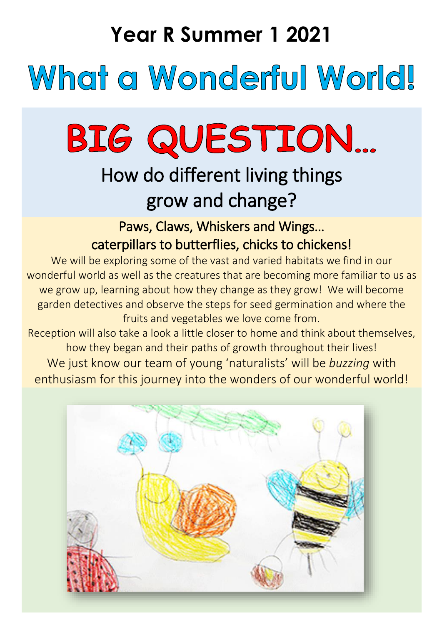## **Year R Summer 1 2021**

## What a Wonderful World!

# BIG QUESTION...

### How do different living things grow and change?

Paws, Claws, Whiskers and Wings… caterpillars to butterflies, chicks to chickens!

We will be exploring some of the vast and varied habitats we find in our wonderful world as well as the creatures that are becoming more familiar to us as we grow up, learning about how they change as they grow! We will become garden detectives and observe the steps for seed germination and where the fruits and vegetables we love come from.

Reception will also take a look a little closer to home and think about themselves, how they began and their paths of growth throughout their lives! We just know our team of young 'naturalists' will be *buzzing* with enthusiasm for this journey into the wonders of our wonderful world!

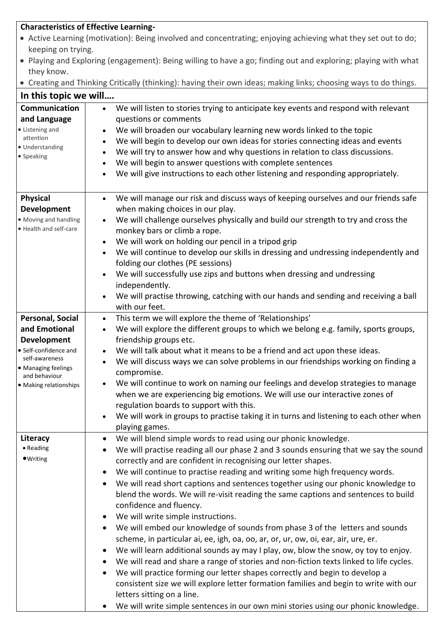|                                                                                                               | <b>Characteristics of Effective Learning-</b>                                                                                                                     |  |
|---------------------------------------------------------------------------------------------------------------|-------------------------------------------------------------------------------------------------------------------------------------------------------------------|--|
| • Active Learning (motivation): Being involved and concentrating; enjoying achieving what they set out to do; |                                                                                                                                                                   |  |
| keeping on trying.                                                                                            |                                                                                                                                                                   |  |
|                                                                                                               | • Playing and Exploring (engagement): Being willing to have a go; finding out and exploring; playing with what                                                    |  |
| they know.                                                                                                    |                                                                                                                                                                   |  |
|                                                                                                               | • Creating and Thinking Critically (thinking): having their own ideas; making links; choosing ways to do things.                                                  |  |
| In this topic we will                                                                                         |                                                                                                                                                                   |  |
| Communication                                                                                                 | We will listen to stories trying to anticipate key events and respond with relevant<br>$\bullet$                                                                  |  |
| and Language                                                                                                  | questions or comments                                                                                                                                             |  |
| • Listening and<br>attention                                                                                  | We will broaden our vocabulary learning new words linked to the topic                                                                                             |  |
| · Understanding                                                                                               | We will begin to develop our own ideas for stories connecting ideas and events<br>$\bullet$                                                                       |  |
| • Speaking                                                                                                    | We will try to answer how and why questions in relation to class discussions.<br>$\bullet$                                                                        |  |
|                                                                                                               | We will begin to answer questions with complete sentences<br>$\bullet$<br>We will give instructions to each other listening and responding appropriately.         |  |
|                                                                                                               |                                                                                                                                                                   |  |
| <b>Physical</b>                                                                                               | We will manage our risk and discuss ways of keeping ourselves and our friends safe<br>$\bullet$                                                                   |  |
| <b>Development</b>                                                                                            | when making choices in our play.                                                                                                                                  |  |
| · Moving and handling                                                                                         | We will challenge ourselves physically and build our strength to try and cross the<br>$\bullet$                                                                   |  |
| · Health and self-care                                                                                        | monkey bars or climb a rope.                                                                                                                                      |  |
|                                                                                                               | We will work on holding our pencil in a tripod grip<br>$\bullet$                                                                                                  |  |
|                                                                                                               | We will continue to develop our skills in dressing and undressing independently and                                                                               |  |
|                                                                                                               | folding our clothes (PE sessions)                                                                                                                                 |  |
|                                                                                                               | We will successfully use zips and buttons when dressing and undressing                                                                                            |  |
|                                                                                                               | independently.                                                                                                                                                    |  |
|                                                                                                               | We will practise throwing, catching with our hands and sending and receiving a ball                                                                               |  |
|                                                                                                               | with our feet.<br>This term we will explore the theme of 'Relationships'                                                                                          |  |
| Personal, Social<br>and Emotional                                                                             | $\bullet$<br>We will explore the different groups to which we belong e.g. family, sports groups,<br>$\bullet$                                                     |  |
| <b>Development</b>                                                                                            | friendship groups etc.                                                                                                                                            |  |
| • Self-confidence and                                                                                         | We will talk about what it means to be a friend and act upon these ideas.                                                                                         |  |
| self-awareness                                                                                                | We will discuss ways we can solve problems in our friendships working on finding a                                                                                |  |
| • Managing feelings<br>and behaviour                                                                          | compromise.                                                                                                                                                       |  |
| • Making relationships                                                                                        | We will continue to work on naming our feelings and develop strategies to manage                                                                                  |  |
|                                                                                                               | when we are experiencing big emotions. We will use our interactive zones of                                                                                       |  |
|                                                                                                               | regulation boards to support with this.                                                                                                                           |  |
|                                                                                                               | We will work in groups to practise taking it in turns and listening to each other when                                                                            |  |
|                                                                                                               | playing games.                                                                                                                                                    |  |
| Literacy                                                                                                      | We will blend simple words to read using our phonic knowledge.                                                                                                    |  |
| • Reading                                                                                                     | We will practise reading all our phase 2 and 3 sounds ensuring that we say the sound                                                                              |  |
| $\bullet$ Writing                                                                                             | correctly and are confident in recognising our letter shapes.                                                                                                     |  |
|                                                                                                               | We will continue to practise reading and writing some high frequency words.                                                                                       |  |
|                                                                                                               | We will read short captions and sentences together using our phonic knowledge to                                                                                  |  |
|                                                                                                               | blend the words. We will re-visit reading the same captions and sentences to build                                                                                |  |
|                                                                                                               | confidence and fluency.                                                                                                                                           |  |
|                                                                                                               | We will write simple instructions.                                                                                                                                |  |
|                                                                                                               | We will embed our knowledge of sounds from phase 3 of the letters and sounds<br>scheme, in particular ai, ee, igh, oa, oo, ar, or, ur, ow, oi, ear, air, ure, er. |  |
|                                                                                                               | We will learn additional sounds ay may I play, ow, blow the snow, oy toy to enjoy.<br>$\bullet$                                                                   |  |
|                                                                                                               | We will read and share a range of stories and non-fiction texts linked to life cycles.<br>$\bullet$                                                               |  |
|                                                                                                               | We will practice forming our letter shapes correctly and begin to develop a                                                                                       |  |
|                                                                                                               | consistent size we will explore letter formation families and begin to write with our                                                                             |  |
|                                                                                                               | letters sitting on a line.                                                                                                                                        |  |
|                                                                                                               | We will write simple sentences in our own mini stories using our phonic knowledge.<br>$\bullet$                                                                   |  |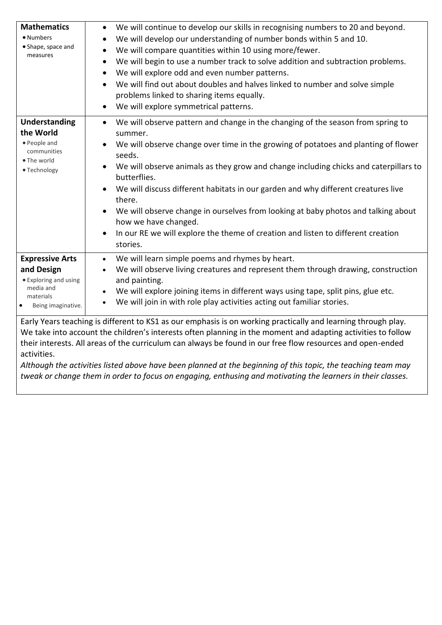| <b>Mathematics</b><br>· Numbers<br>• Shape, space and<br>measures                                                          | We will continue to develop our skills in recognising numbers to 20 and beyond.<br>$\bullet$<br>We will develop our understanding of number bonds within 5 and 10.<br>$\bullet$<br>We will compare quantities within 10 using more/fewer.<br>$\bullet$<br>We will begin to use a number track to solve addition and subtraction problems.<br>$\bullet$<br>We will explore odd and even number patterns.<br>$\bullet$<br>We will find out about doubles and halves linked to number and solve simple<br>problems linked to sharing items equally.<br>We will explore symmetrical patterns.                                                |
|----------------------------------------------------------------------------------------------------------------------------|------------------------------------------------------------------------------------------------------------------------------------------------------------------------------------------------------------------------------------------------------------------------------------------------------------------------------------------------------------------------------------------------------------------------------------------------------------------------------------------------------------------------------------------------------------------------------------------------------------------------------------------|
| <b>Understanding</b><br>the World<br>• People and<br>communities<br>· The world<br>· Technology                            | We will observe pattern and change in the changing of the season from spring to<br>$\bullet$<br>summer.<br>We will observe change over time in the growing of potatoes and planting of flower<br>$\bullet$<br>seeds.<br>We will observe animals as they grow and change including chicks and caterpillars to<br>butterflies.<br>We will discuss different habitats in our garden and why different creatures live<br>there.<br>We will observe change in ourselves from looking at baby photos and talking about<br>how we have changed.<br>In our RE we will explore the theme of creation and listen to different creation<br>stories. |
| <b>Expressive Arts</b><br>and Design<br>• Exploring and using<br>media and<br>materials<br>Being imaginative.<br>$\bullet$ | We will learn simple poems and rhymes by heart.<br>$\bullet$<br>We will observe living creatures and represent them through drawing, construction<br>and painting.<br>We will explore joining items in different ways using tape, split pins, glue etc.<br>We will join in with role play activities acting out familiar stories.                                                                                                                                                                                                                                                                                                        |
| activities.                                                                                                                | Early Years teaching is different to KS1 as our emphasis is on working practically and learning through play.<br>We take into account the children's interests often planning in the moment and adapting activities to follow<br>their interests. All areas of the curriculum can always be found in our free flow resources and open-ended                                                                                                                                                                                                                                                                                              |

*Although the activities listed above have been planned at the beginning of this topic, the teaching team may tweak or change them in order to focus on engaging, enthusing and motivating the learners in their classes.*